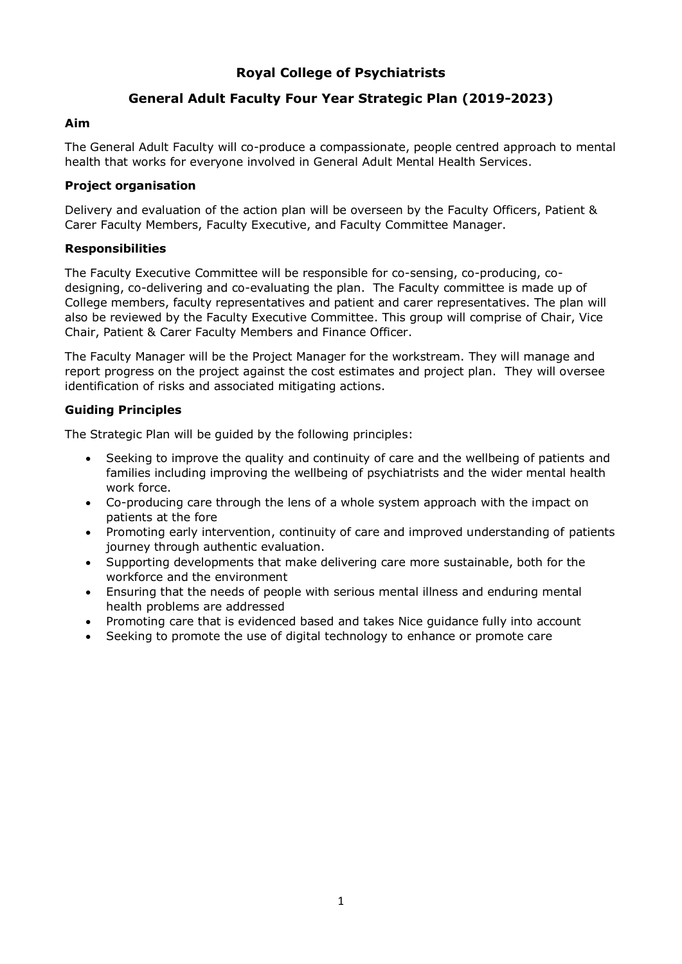# **Royal College of Psychiatrists**

# **General Adult Faculty Four Year Strategic Plan (2019-2023)**

## **Aim**

The General Adult Faculty will co-produce a compassionate, people centred approach to mental health that works for everyone involved in General Adult Mental Health Services.

## **Project organisation**

Delivery and evaluation of the action plan will be overseen by the Faculty Officers, Patient & Carer Faculty Members, Faculty Executive, and Faculty Committee Manager.

### **Responsibilities**

The Faculty Executive Committee will be responsible for co-sensing, co-producing, codesigning, co-delivering and co-evaluating the plan. The Faculty committee is made up of College members, faculty representatives and patient and carer representatives. The plan will also be reviewed by the Faculty Executive Committee. This group will comprise of Chair, Vice Chair, Patient & Carer Faculty Members and Finance Officer.

The Faculty Manager will be the Project Manager for the workstream. They will manage and report progress on the project against the cost estimates and project plan. They will oversee identification of risks and associated mitigating actions.

## **Guiding Principles**

The Strategic Plan will be guided by the following principles:

- Seeking to improve the quality and continuity of care and the wellbeing of patients and families including improving the wellbeing of psychiatrists and the wider mental health work force.
- Co-producing care through the lens of a whole system approach with the impact on patients at the fore
- Promoting early intervention, continuity of care and improved understanding of patients journey through authentic evaluation.
- Supporting developments that make delivering care more sustainable, both for the workforce and the environment
- Ensuring that the needs of people with serious mental illness and enduring mental health problems are addressed
- Promoting care that is evidenced based and takes Nice guidance fully into account
- Seeking to promote the use of digital technology to enhance or promote care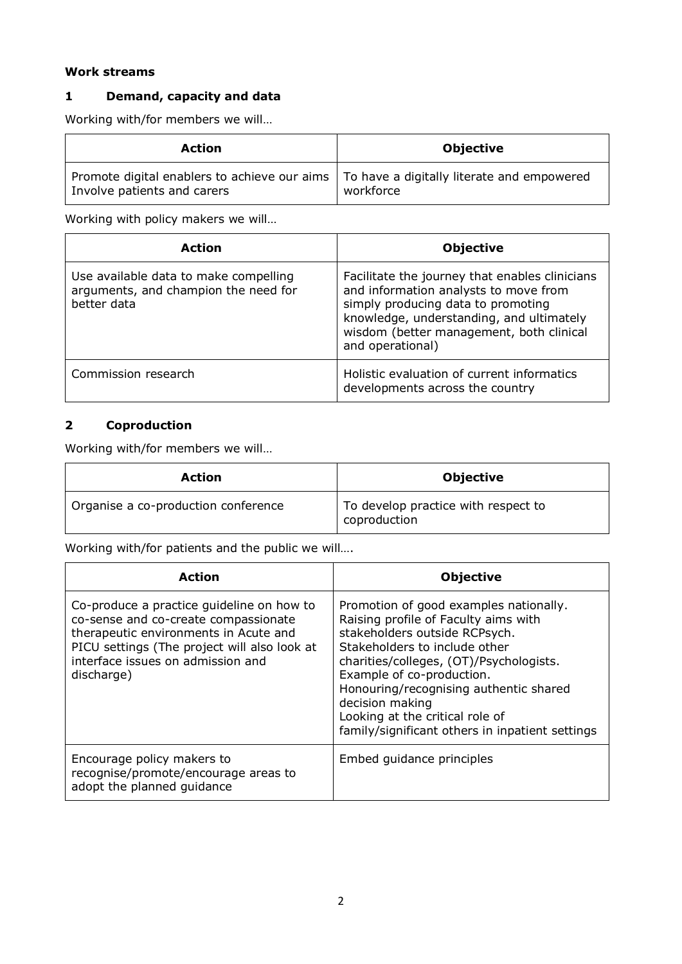## **Work streams**

# **1 Demand, capacity and data**

Working with/for members we will…

| <b>Action</b>                                                                                                            | <b>Objective</b> |
|--------------------------------------------------------------------------------------------------------------------------|------------------|
| Promote digital enablers to achieve our aims   To have a digitally literate and empowered<br>Involve patients and carers | workforce        |

Working with policy makers we will…

| <b>Action</b>                                                                                | <b>Objective</b>                                                                                                                                                                                                                          |
|----------------------------------------------------------------------------------------------|-------------------------------------------------------------------------------------------------------------------------------------------------------------------------------------------------------------------------------------------|
| Use available data to make compelling<br>arguments, and champion the need for<br>better data | Facilitate the journey that enables clinicians<br>and information analysts to move from<br>simply producing data to promoting<br>knowledge, understanding, and ultimately<br>wisdom (better management, both clinical<br>and operational) |
| Commission research                                                                          | Holistic evaluation of current informatics<br>developments across the country                                                                                                                                                             |

# **2 Coproduction**

Working with/for members we will…

| <b>Action</b>                       | <b>Objective</b>                                    |
|-------------------------------------|-----------------------------------------------------|
| Organise a co-production conference | To develop practice with respect to<br>coproduction |

Working with/for patients and the public we will….

| <b>Action</b>                                                                                                                                                                                                                 | <b>Objective</b>                                                                                                                                                                                                                                                                                                                                                            |
|-------------------------------------------------------------------------------------------------------------------------------------------------------------------------------------------------------------------------------|-----------------------------------------------------------------------------------------------------------------------------------------------------------------------------------------------------------------------------------------------------------------------------------------------------------------------------------------------------------------------------|
| Co-produce a practice guideline on how to<br>co-sense and co-create compassionate<br>therapeutic environments in Acute and<br>PICU settings (The project will also look at<br>interface issues on admission and<br>discharge) | Promotion of good examples nationally.<br>Raising profile of Faculty aims with<br>stakeholders outside RCPsych.<br>Stakeholders to include other<br>charities/colleges, (OT)/Psychologists.<br>Example of co-production.<br>Honouring/recognising authentic shared<br>decision making<br>Looking at the critical role of<br>family/significant others in inpatient settings |
| Encourage policy makers to<br>recognise/promote/encourage areas to<br>adopt the planned quidance                                                                                                                              | Embed quidance principles                                                                                                                                                                                                                                                                                                                                                   |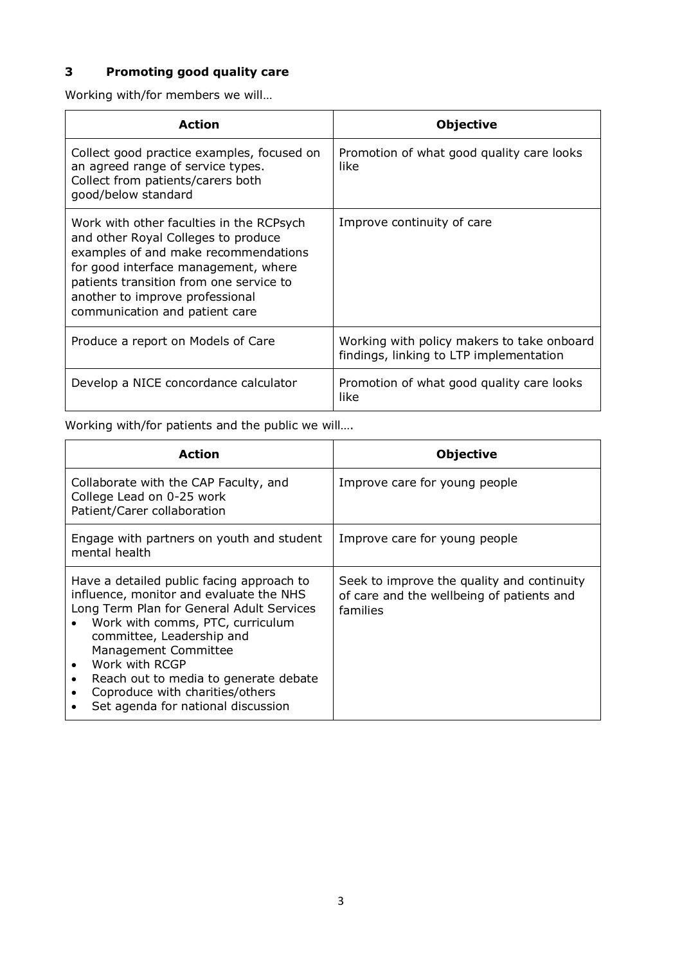# **3 Promoting good quality care**

Working with/for members we will…

| <b>Action</b>                                                                                                                                                                                                                                                                   | <b>Objective</b>                                                                      |
|---------------------------------------------------------------------------------------------------------------------------------------------------------------------------------------------------------------------------------------------------------------------------------|---------------------------------------------------------------------------------------|
| Collect good practice examples, focused on<br>an agreed range of service types.<br>Collect from patients/carers both<br>good/below standard                                                                                                                                     | Promotion of what good quality care looks<br>like.                                    |
| Work with other faculties in the RCPsych<br>and other Royal Colleges to produce<br>examples of and make recommendations<br>for good interface management, where<br>patients transition from one service to<br>another to improve professional<br>communication and patient care | Improve continuity of care                                                            |
| Produce a report on Models of Care                                                                                                                                                                                                                                              | Working with policy makers to take onboard<br>findings, linking to LTP implementation |
| Develop a NICE concordance calculator                                                                                                                                                                                                                                           | Promotion of what good quality care looks<br>like                                     |

Working with/for patients and the public we will….

| <b>Action</b>                                                                                                                                                                                                                                                                                                                                                  | <b>Objective</b>                                                                                    |
|----------------------------------------------------------------------------------------------------------------------------------------------------------------------------------------------------------------------------------------------------------------------------------------------------------------------------------------------------------------|-----------------------------------------------------------------------------------------------------|
| Collaborate with the CAP Faculty, and<br>College Lead on 0-25 work<br>Patient/Carer collaboration                                                                                                                                                                                                                                                              | Improve care for young people                                                                       |
| Engage with partners on youth and student<br>mental health                                                                                                                                                                                                                                                                                                     | Improve care for young people                                                                       |
| Have a detailed public facing approach to<br>influence, monitor and evaluate the NHS<br>Long Term Plan for General Adult Services<br>Work with comms, PTC, curriculum<br>committee, Leadership and<br>Management Committee<br>Work with RCGP<br>Reach out to media to generate debate<br>Coproduce with charities/others<br>Set agenda for national discussion | Seek to improve the quality and continuity<br>of care and the wellbeing of patients and<br>families |